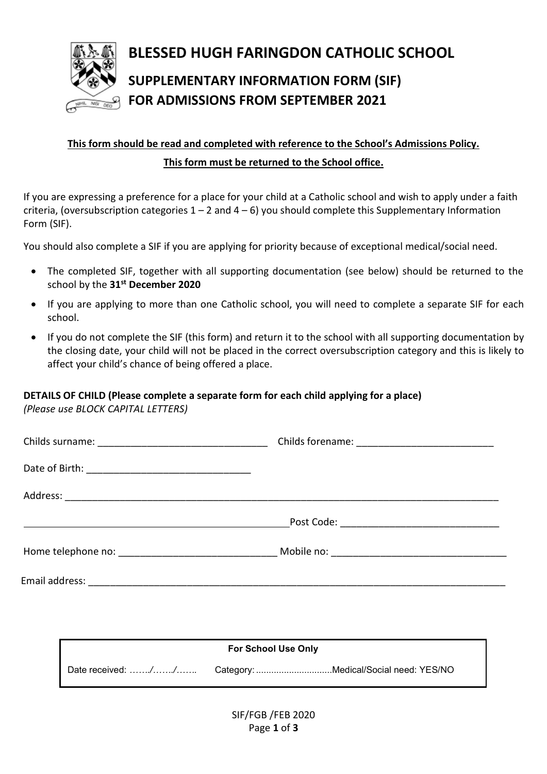

# BLESSED HUGH FARINGDON CATHOLIC SCHOOL SUPPLEMENTARY INFORMATION FORM (SIF) FOR ADMISSIONS FROM SEPTEMBER 2021

## This form should be read and completed with reference to the School's Admissions Policy. This form must be returned to the School office.

If you are expressing a preference for a place for your child at a Catholic school and wish to apply under a faith criteria, (oversubscription categories  $1 - 2$  and  $4 - 6$ ) you should complete this Supplementary Information Form (SIF).

You should also complete a SIF if you are applying for priority because of exceptional medical/social need.

- The completed SIF, together with all supporting documentation (see below) should be returned to the school by the 31<sup>st</sup> December 2020
- If you are applying to more than one Catholic school, you will need to complete a separate SIF for each school.
- If you do not complete the SIF (this form) and return it to the school with all supporting documentation by the closing date, your child will not be placed in the correct oversubscription category and this is likely to affect your child's chance of being offered a place.

### DETAILS OF CHILD (Please complete a separate form for each child applying for a place)

(Please use BLOCK CAPITAL LETTERS)

| <b>For School Use Only</b> |  |  |  |  |
|----------------------------|--|--|--|--|
|                            |  |  |  |  |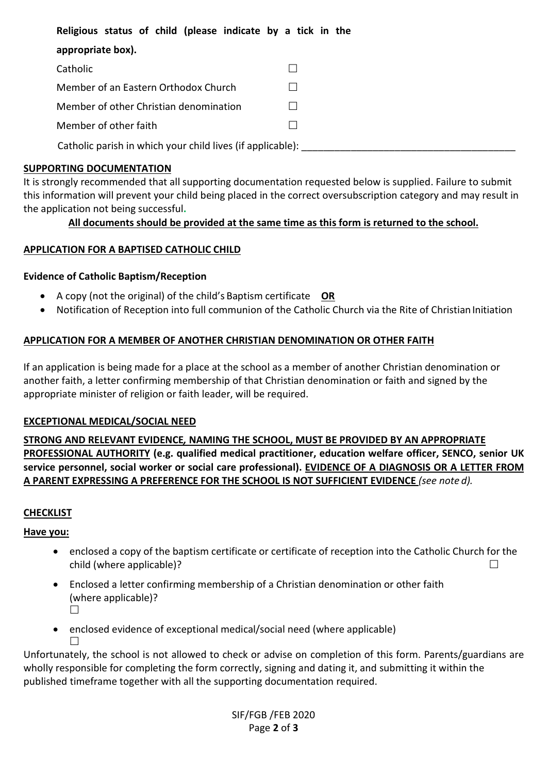Religious status of child (please indicate by a tick in the

| appropriate box).                                          |  |
|------------------------------------------------------------|--|
| Catholic                                                   |  |
| Member of an Eastern Orthodox Church                       |  |
| Member of other Christian denomination                     |  |
| Member of other faith                                      |  |
| Catholic parish in which your child lives (if applicable): |  |

#### SUPPORTING DOCUMENTATION

It is strongly recommended that all supporting documentation requested below is supplied. Failure to submit this information will prevent your child being placed in the correct oversubscription category and may result in the application not being successful.

#### All documents should be provided at the same time as this form is returned to the school.

#### APPLICATION FOR A BAPTISED CATHOLIC CHILD

#### Evidence of Catholic Baptism/Reception

- A copy (not the original) of the child's Baptism certificate  $OR$
- Notification of Reception into full communion of the Catholic Church via the Rite of Christian Initiation

#### APPLICATION FOR A MEMBER OF ANOTHER CHRISTIAN DENOMINATION OR OTHER FAITH

If an application is being made for a place at the school as a member of another Christian denomination or another faith, a letter confirming membership of that Christian denomination or faith and signed by the appropriate minister of religion or faith leader, will be required.

#### EXCEPTIONAL MEDICAL/SOCIAL NEED

STRONG AND RELEVANT EVIDENCE, NAMING THE SCHOOL, MUST BE PROVIDED BY AN APPROPRIATE PROFESSIONAL AUTHORITY (e.g. qualified medical practitioner, education welfare officer, SENCO, senior UK service personnel, social worker or social care professional). EVIDENCE OF A DIAGNOSIS OR A LETTER FROM A PARENT EXPRESSING A PREFERENCE FOR THE SCHOOL IS NOT SUFFICIENT EVIDENCE (see note d).

#### **CHECKLIST**

#### Have you:

- enclosed a copy of the baptism certificate or certificate of reception into the Catholic Church for the child (where applicable)?
- Enclosed a letter confirming membership of a Christian denomination or other faith (where applicable)?  $\perp$
- enclosed evidence of exceptional medical/social need (where applicable)  $\Box$

Unfortunately, the school is not allowed to check or advise on completion of this form. Parents/guardians are wholly responsible for completing the form correctly, signing and dating it, and submitting it within the published timeframe together with all the supporting documentation required.